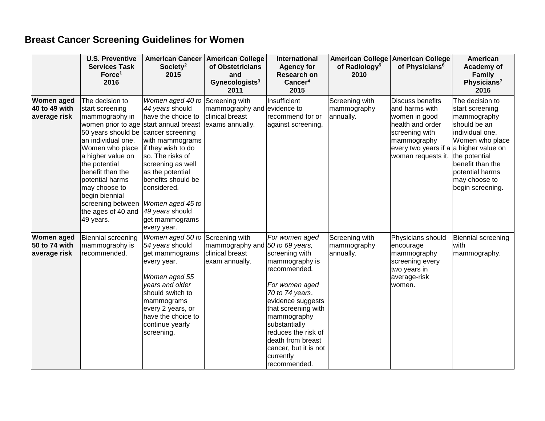## **Breast Cancer Screening Guidelines for Women**

|                                                    | <b>U.S. Preventive</b><br><b>Services Task</b><br>Force <sup>1</sup><br>2016                                                                                                                                                                                                                                                                           | <b>American Cancer</b><br>Society <sup>2</sup><br>2015                                                                                                                                                                                                                       | <b>American College</b><br>of Obstetricians<br>and<br>Gynecologists <sup>3</sup><br>2011 | <b>International</b><br><b>Agency for</b><br>Research on<br>Cancer <sup>4</sup><br>2015                                                                                                                                                                                                                  | <b>American College</b><br>of Radiology <sup>5</sup><br>2010 | <b>American College</b><br>of Physicians <sup>6</sup>                                                                                                                           | American<br>Academy of<br><b>Family</b><br>Physicians <sup>7</sup><br>2016                                                                                                                           |
|----------------------------------------------------|--------------------------------------------------------------------------------------------------------------------------------------------------------------------------------------------------------------------------------------------------------------------------------------------------------------------------------------------------------|------------------------------------------------------------------------------------------------------------------------------------------------------------------------------------------------------------------------------------------------------------------------------|------------------------------------------------------------------------------------------|----------------------------------------------------------------------------------------------------------------------------------------------------------------------------------------------------------------------------------------------------------------------------------------------------------|--------------------------------------------------------------|---------------------------------------------------------------------------------------------------------------------------------------------------------------------------------|------------------------------------------------------------------------------------------------------------------------------------------------------------------------------------------------------|
| <b>Women aged</b><br>40 to 49 with<br>average risk | The decision to<br>start screening<br>mammography in<br>women prior to age start annual breast<br>50 years should be cancer screening<br>an individual one.<br>Women who place<br>a higher value on<br>the potential<br>benefit than the<br>potential harms<br>may choose to<br>begin biennial<br>screening between<br>the ages of 40 and<br>49 years. | Women aged 40 to<br>44 years should<br>have the choice to<br>with mammograms<br>if they wish to do<br>so. The risks of<br>screening as well<br>as the potential<br>benefits should be<br>considered.<br>Women aged 45 to<br>49 years should<br>get mammograms<br>every year. | Screening with<br>mammography and<br>clinical breast<br>exams annually.                  | Insufficient<br>evidence to<br>recommend for or<br>against screening.                                                                                                                                                                                                                                    | Screening with<br>mammography<br>annually.                   | <b>Discuss benefits</b><br>and harms with<br>women in good<br>health and order<br>screening with<br>mammography<br>every two years if a a higher value on<br>woman requests it. | The decision to<br>start screening<br>mammography<br>should be an<br>individual one.<br>Women who place<br>the potential<br>benefit than the<br>potential harms<br>may choose to<br>begin screening. |
| <b>Women aged</b><br>50 to 74 with<br>average risk | Biennial screening<br>mammography is<br>recommended.                                                                                                                                                                                                                                                                                                   | Women aged 50 to<br>54 years should<br>get mammograms<br>every year.<br>Women aged 55<br>years and older<br>should switch to<br>mammograms<br>every 2 years, or<br>have the choice to<br>continue yearly<br>screening.                                                       | Screening with<br>mammography and<br>clinical breast<br>exam annually.                   | For women aged<br>50 to 69 years,<br>screening with<br>mammography is<br>recommended.<br>For women aged<br>70 to 74 years,<br>evidence suggests<br>that screening with<br>mammography<br>substantially<br>reduces the risk of<br>death from breast<br>cancer, but it is not<br>currently<br>recommended. | Screening with<br>mammography<br>annually.                   | Physicians should<br>encourage<br>mammography<br>screening every<br>two years in<br>average-risk<br>women.                                                                      | Biennial screening<br>with<br>mammography.                                                                                                                                                           |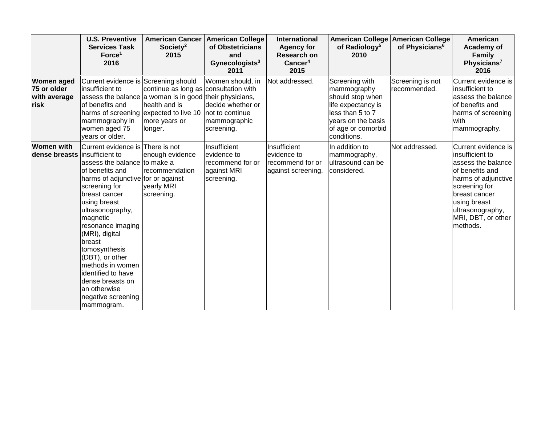|                                                          | <b>U.S. Preventive</b><br><b>Services Task</b><br>Force <sup>1</sup><br>2016                                                                                                                                                                                                                                                                                                                                       | <b>American Cancer</b><br>Society <sup>2</sup><br>2015                                                                                                                                                    | <b>American College</b><br>of Obstetricians<br>and<br>Gynecologists <sup>3</sup><br>2011 | <b>International</b><br><b>Agency for</b><br><b>Research on</b><br>Cancer <sup>4</sup><br>2015 | of Radiology <sup>5</sup><br>2010                                                                                                                      | American College American College<br>of Physicians <sup>6</sup> | American<br>Academy of<br><b>Family</b><br>Physicians <sup>7</sup><br>2016                                                                                                                                     |
|----------------------------------------------------------|--------------------------------------------------------------------------------------------------------------------------------------------------------------------------------------------------------------------------------------------------------------------------------------------------------------------------------------------------------------------------------------------------------------------|-----------------------------------------------------------------------------------------------------------------------------------------------------------------------------------------------------------|------------------------------------------------------------------------------------------|------------------------------------------------------------------------------------------------|--------------------------------------------------------------------------------------------------------------------------------------------------------|-----------------------------------------------------------------|----------------------------------------------------------------------------------------------------------------------------------------------------------------------------------------------------------------|
| <b>Women aged</b><br>75 or older<br>with average<br>risk | Current evidence is Screening should<br>insufficient to<br>of benefits and<br>mammography in<br>women aged 75<br>years or older.                                                                                                                                                                                                                                                                                   | continue as long as consultation with<br>assess the balance a woman is in good their physicians,<br>health and is<br>harms of screening expected to live 10   not to continue<br>more years or<br>longer. | Women should, in<br>decide whether or<br>mammographic<br>screening.                      | Not addressed.                                                                                 | Screening with<br>mammography<br>should stop when<br>life expectancy is<br>less than 5 to 7<br>years on the basis<br>of age or comorbid<br>conditions. | Screening is not<br>recommended.                                | Current evidence is<br>insufficient to<br>assess the balance<br>of benefits and<br>harms of screening<br>with<br>mammography.                                                                                  |
| <b>Women with</b><br>dense breasts insufficient to       | Current evidence is There is not<br>assess the balance to make a<br>of benefits and<br>harms of adjunctive for or against<br>screening for<br>breast cancer<br>using breast<br>ultrasonography,<br>magnetic<br>resonance imaging<br>(MRI), digital<br>breast<br>tomosynthesis<br>(DBT), or other<br>methods in women<br>identified to have<br>dense breasts on<br>an otherwise<br>negative screening<br>mammogram. | enough evidence<br>recommendation<br>yearly MRI<br>screening.                                                                                                                                             | Insufficient<br>evidence to<br>recommend for or<br>against MRI<br>screening.             | Insufficient<br>evidence to<br>recommend for or<br>against screening.                          | In addition to<br>mammography,<br>ultrasound can be<br>considered.                                                                                     | Not addressed.                                                  | Current evidence is<br>insufficient to<br>assess the balance<br>of benefits and<br>harms of adjunctive<br>screening for<br>breast cancer<br>using breast<br>ultrasonography,<br>MRI, DBT, or other<br>methods. |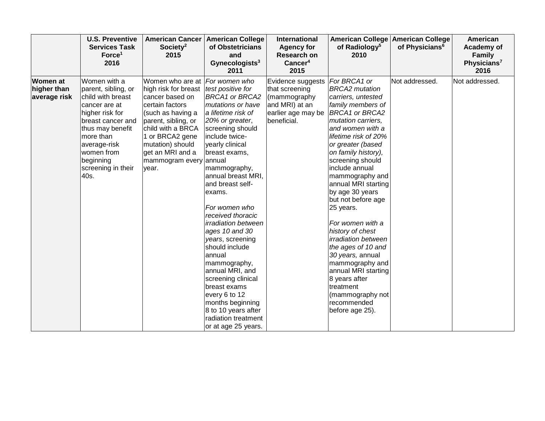|                                         | <b>U.S. Preventive</b><br><b>Services Task</b><br>Force <sup>1</sup><br>2016                                                                                                                                                | <b>American Cancer</b><br>Society <sup>2</sup><br>2015                                                                                                                                                                                                                               | <b>American College</b><br>of Obstetricians<br>and<br>Gynecologists <sup>3</sup><br>2011                                                                                                                                                                                                                                                                                                                                                                                                                                                                    | International<br><b>Agency for</b><br><b>Research on</b><br>Cancer <sup>4</sup><br>2015                    | <b>American College</b><br>of Radiology <sup>5</sup><br>2010                                                                                                                                                                                                                                                                                                                                                                                                                                                                                                                                                | <b>American College</b><br>of Physicians <sup>6</sup> | American<br>Academy of<br><b>Family</b><br>Physicians <sup>7</sup><br>2016 |
|-----------------------------------------|-----------------------------------------------------------------------------------------------------------------------------------------------------------------------------------------------------------------------------|--------------------------------------------------------------------------------------------------------------------------------------------------------------------------------------------------------------------------------------------------------------------------------------|-------------------------------------------------------------------------------------------------------------------------------------------------------------------------------------------------------------------------------------------------------------------------------------------------------------------------------------------------------------------------------------------------------------------------------------------------------------------------------------------------------------------------------------------------------------|------------------------------------------------------------------------------------------------------------|-------------------------------------------------------------------------------------------------------------------------------------------------------------------------------------------------------------------------------------------------------------------------------------------------------------------------------------------------------------------------------------------------------------------------------------------------------------------------------------------------------------------------------------------------------------------------------------------------------------|-------------------------------------------------------|----------------------------------------------------------------------------|
| Women at<br>higher than<br>average risk | Women with a<br>parent, sibling, or<br>child with breast<br>cancer are at<br>higher risk for<br>breast cancer and<br>thus may benefit<br>more than<br>average-risk<br>women from<br>beginning<br>screening in their<br>40s. | Women who are at For women who<br>high risk for breast <i>test positive for</i><br>cancer based on<br>certain factors<br>(such as having a<br>parent, sibling, or<br>child with a BRCA<br>1 or BRCA2 gene<br>mutation) should<br>get an MRI and a<br>mammogram every annual<br>year. | <b>BRCA1 or BRCA2</b><br>mutations or have<br>a lifetime risk of<br>20% or greater,<br>screening should<br>include twice-<br>yearly clinical<br>breast exams,<br>mammography,<br>annual breast MRI,<br>and breast self-<br>exams.<br>For women who<br>received thoracic<br>irradiation between<br>ages 10 and 30<br>years, screening<br>should include<br>lannual<br>mammography,<br>annual MRI, and<br>screening clinical<br>breast exams<br>every 6 to 12<br>months beginning<br>8 to 10 years after<br><b>radiation treatment</b><br>or at age 25 years. | Evidence suggests<br>that screening<br>(mammography<br>and MRI) at an<br>earlier age may be<br>beneficial. | For BRCA1 or<br><b>BRCA2</b> mutation<br>carriers, untested<br>family members of<br><b>BRCA1 or BRCA2</b><br>mutation carriers,<br>and women with a<br>lifetime risk of 20%<br>or greater (based<br>on family history),<br>screening should<br>include annual<br>mammography and<br>annual MRI starting<br>by age 30 years<br>but not before age<br>25 years.<br>For women with a<br>history of chest<br><i>irradiation between</i><br>the ages of 10 and<br>30 years, annual<br>mammography and<br>annual MRI starting<br>8 years after<br>treatment<br>(mammography not<br>recommended<br>before age 25). | Not addressed.                                        | Not addressed.                                                             |